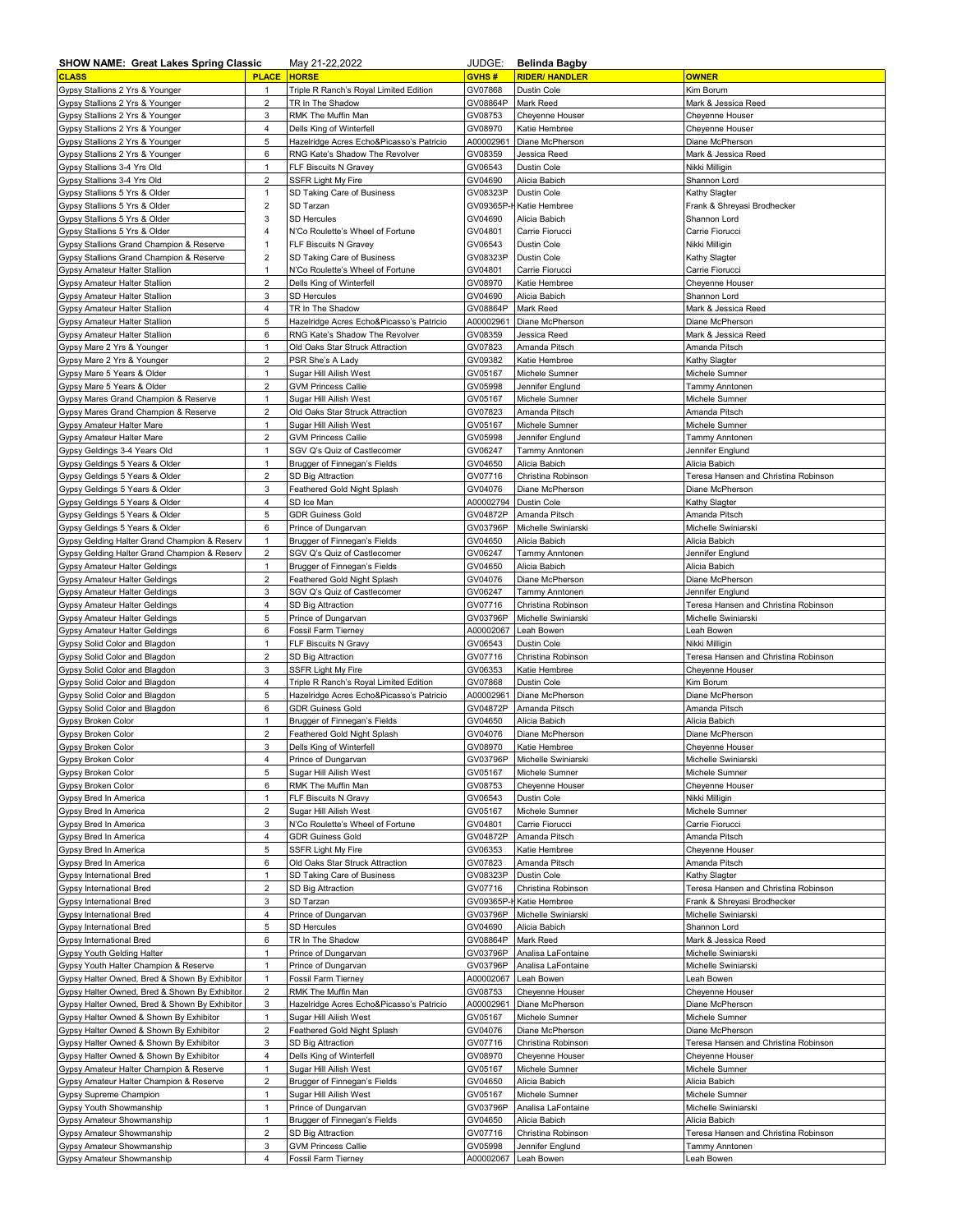| <b>SHOW NAME: Great Lakes Spring Classic</b>                   |                         | May 21-22,2022                                               | JUDGE:                | <b>Belinda Bagby</b>           |                                        |
|----------------------------------------------------------------|-------------------------|--------------------------------------------------------------|-----------------------|--------------------------------|----------------------------------------|
| <b>CLASS</b>                                                   | <b>PLACE</b>            | <b>HORSE</b>                                                 | GVHS#                 | <b>RIDER/ HANDLER</b>          | <b>OWNER</b>                           |
| Gypsy Stallions 2 Yrs & Younger                                | 1                       | Triple R Ranch's Royal Limited Edition                       | GV07868               | Dustin Cole                    | Kim Borum                              |
| Gypsy Stallions 2 Yrs & Younger                                | $\overline{\mathbf{c}}$ | TR In The Shadow                                             | GV08864P              | Mark Reed                      | Mark & Jessica Reed                    |
| Gypsy Stallions 2 Yrs & Younger                                | 3                       | RMK The Muffin Man                                           | GV08753               | Cheyenne Houser                | Cheyenne Houser                        |
| Gypsy Stallions 2 Yrs & Younger                                | 4                       | Dells King of Winterfell                                     | GV08970               | Katie Hembree                  | Cheyenne Houser                        |
| Gypsy Stallions 2 Yrs & Younger                                | 5                       | Hazelridge Acres Echo&Picasso's Patricio                     | A00002961             | Diane McPherson                | Diane McPherson                        |
| Gypsy Stallions 2 Yrs & Younger                                | 6                       | RNG Kate's Shadow The Revolver                               | GV08359               | Jessica Reed                   | Mark & Jessica Reed                    |
| Gypsy Stallions 3-4 Yrs Old                                    | $\mathbf{1}$            | FLF Biscuits N Gravey                                        | GV06543               | Dustin Cole                    | Nikki Milligin                         |
| Gypsy Stallions 3-4 Yrs Old                                    | $\overline{c}$          | <b>SSFR Light My Fire</b>                                    | GV04690               | Alicia Babich                  | Shannon Lord                           |
| Gypsy Stallions 5 Yrs & Older                                  | $\mathbf{1}$            | SD Taking Care of Business                                   | GV08323P              | Dustin Cole                    | Kathy Slagter                          |
| Gypsy Stallions 5 Yrs & Older                                  | $\overline{\mathbf{c}}$ | SD Tarzan                                                    | GV09365P-             | Katie Hembree                  | Frank & Shreyasi Brodhecker            |
| Gypsy Stallions 5 Yrs & Older                                  | 3                       | <b>SD Hercules</b>                                           | GV04690               | Alicia Babich                  | Shannon Lord                           |
| Gypsy Stallions 5 Yrs & Older                                  | $\overline{\mathbf{4}}$ | N'Co Roulette's Wheel of Fortune                             | GV04801               | Carrie Fiorucci                | Carrie Fiorucci                        |
| Gypsy Stallions Grand Champion & Reserve                       | 1                       | FLF Biscuits N Gravey                                        | GV06543               | Dustin Cole                    | Nikki Milligin                         |
| Gypsy Stallions Grand Champion & Reserve                       | $\overline{\mathbf{c}}$ | SD Taking Care of Business                                   | GV08323P              | Dustin Cole                    | Kathy Slagter                          |
| Gypsy Amateur Halter Stallion                                  | $\mathbf{1}$            | N'Co Roulette's Wheel of Fortune                             | GV04801               | Carrie Fiorucci                | Carrie Fiorucci                        |
| Gypsy Amateur Halter Stallion                                  | $\mathbf 2$             | Dells King of Winterfell                                     | GV08970               | Katie Hembree                  | Cheyenne Houser                        |
| Gypsy Amateur Halter Stallion                                  | 3<br>4                  | <b>SD Hercules</b>                                           | GV04690               | Alicia Babich<br>Mark Reed     | Shannon Lord                           |
| Gypsy Amateur Halter Stallion<br>Gypsy Amateur Halter Stallion | 5                       | TR In The Shadow<br>Hazelridge Acres Echo&Picasso's Patricio | GV08864P<br>A00002961 | Diane McPherson                | Mark & Jessica Reed<br>Diane McPherson |
| Gypsy Amateur Halter Stallion                                  | 6                       | RNG Kate's Shadow The Revolver                               | GV08359               | Jessica Reed                   | Mark & Jessica Reed                    |
| Gypsy Mare 2 Yrs & Younger                                     | $\mathbf{1}$            | Old Oaks Star Struck Attraction                              | GV07823               | Amanda Pitsch                  | Amanda Pitsch                          |
| Gypsy Mare 2 Yrs & Younger                                     | $\overline{2}$          | PSR She's A Lady                                             | GV09382               | Katie Hembree                  | Kathy Slagter                          |
| Gypsy Mare 5 Years & Older                                     | 1                       | Sugar Hill Ailish West                                       | GV05167               | Michele Sumner                 | Michele Sumner                         |
| Gypsy Mare 5 Years & Older                                     | $\overline{c}$          | <b>GVM Princess Callie</b>                                   | GV05998               | Jennifer Englund               | <b>Tammy Anntonen</b>                  |
| Gypsy Mares Grand Champion & Reserve                           | $\mathbf{1}$            | Sugar Hill Ailish West                                       | GV05167               | Michele Sumner                 | Michele Sumner                         |
| Gypsy Mares Grand Champion & Reserve                           | $\overline{a}$          | Old Oaks Star Struck Attraction                              | GV07823               | Amanda Pitsch                  | Amanda Pitsch                          |
| Gypsy Amateur Halter Mare                                      | $\mathbf{1}$            | Sugar Hill Ailish West                                       | GV05167               | Michele Sumner                 | Michele Sumner                         |
| Gypsy Amateur Halter Mare                                      | $\overline{c}$          | <b>GVM Princess Callie</b>                                   | GV05998               | Jennifer Englund               | Tammy Anntonen                         |
| Gypsy Geldings 3-4 Years Old                                   | $\mathbf{1}$            | SGV Q's Quiz of Castlecomer                                  | GV06247               | <b>Tammy Anntonen</b>          | Jennifer Englund                       |
| Gypsy Geldings 5 Years & Older                                 | $\mathbf{1}$            | Brugger of Finnegan's Fields                                 | GV04650               | Alicia Babich                  | Alicia Babich                          |
| Gypsy Geldings 5 Years & Older                                 | $\overline{\mathbf{c}}$ | <b>SD Big Attraction</b>                                     | GV07716               | Christina Robinson             | Teresa Hansen and Christina Robinson   |
| Gypsy Geldings 5 Years & Older                                 | 3                       | Feathered Gold Night Splash                                  | GV04076               | Diane McPherson                | Diane McPherson                        |
| Gypsy Geldings 5 Years & Older                                 | 4                       | SD Ice Man                                                   | A00002794             | <b>Dustin Cole</b>             | Kathy Slagter                          |
| Gypsy Geldings 5 Years & Older                                 | 5                       | <b>GDR Guiness Gold</b>                                      | GV04872P              | Amanda Pitsch                  | Amanda Pitsch                          |
| Gypsy Geldings 5 Years & Older                                 | 6                       | Prince of Dungarvan                                          | GV03796P              | Michelle Swiniarski            | Michelle Swiniarski                    |
| Gypsy Gelding Halter Grand Champion & Reserv                   | $\mathbf{1}$            | Brugger of Finnegan's Fields                                 | GV04650               | Alicia Babich                  | Alicia Babich                          |
| Gypsy Gelding Halter Grand Champion & Reserv                   | $\overline{c}$          | SGV Q's Quiz of Castlecomer                                  | GV06247               | Tammy Anntonen                 | Jennifer Englund                       |
| Gypsy Amateur Halter Geldings                                  | $\mathbf{1}$            | Brugger of Finnegan's Fields                                 | GV04650               | Alicia Babich                  | Alicia Babich                          |
| Gypsy Amateur Halter Geldings                                  | $\overline{2}$          | Feathered Gold Night Splash                                  | GV04076               | Diane McPherson                | Diane McPherson                        |
| Gypsy Amateur Halter Geldings                                  | 3                       | SGV Q's Quiz of Castlecomer                                  | GV06247               | Tammy Anntonen                 | Jennifer Englund                       |
| Gypsy Amateur Halter Geldings                                  | 4                       | SD Big Attraction                                            | GV07716               | Christina Robinson             | Teresa Hansen and Christina Robinson   |
| Gypsy Amateur Halter Geldings                                  | 5                       | Prince of Dungarvan                                          | GV03796P              | Michelle Swiniarski            | Michelle Swiniarski                    |
|                                                                |                         |                                                              |                       |                                |                                        |
| Gypsy Amateur Halter Geldings                                  | 6                       | Fossil Farm Tierney                                          | A00002067             | Leah Bowen                     | Leah Bowen                             |
| Gypsy Solid Color and Blagdon                                  | 1                       | FLF Biscuits N Gravy                                         | GV06543               | Dustin Cole                    | Nikki Milligin                         |
| Gypsy Solid Color and Blagdon                                  | $\overline{c}$          | SD Big Attraction                                            | GV07716               | Christina Robinson             | Teresa Hansen and Christina Robinson   |
| Gypsy Solid Color and Blagdon                                  | 3                       | <b>SSFR Light My Fire</b>                                    | GV06353               | Katie Hembree                  | Cheyenne Houser                        |
| Gypsy Solid Color and Blagdon                                  | 4                       | Triple R Ranch's Royal Limited Edition                       | GV07868               | <b>Dustin Cole</b>             | Kim Borum                              |
| Gypsy Solid Color and Blagdon                                  | 5                       | Hazelridge Acres Echo&Picasso's Patricio                     | A00002961             | Diane McPherson                | Diane McPherson                        |
| Gypsy Solid Color and Blagdon                                  | 6                       | <b>GDR Guiness Gold</b>                                      | GV04872P              | Amanda Pitsch                  | Amanda Pitsch                          |
| Gypsy Broken Color                                             | $\mathbf{1}$            | Brugger of Finnegan's Fields                                 | GV04650               | Alicia Babich                  | Alicia Babich                          |
| Gypsy Broken Color                                             | $\overline{2}$          | Feathered Gold Night Splash                                  | GV04076               | Diane McPherson                | Diane McPherson                        |
| Gypsy Broken Color                                             | 3                       | Dells King of Winterfell                                     | GV08970               | Katie Hembree                  | Cheyenne Houser                        |
| Gypsy Broken Color                                             | 4                       | Prince of Dungarvan                                          | GV03796P              | Michelle Swiniarski            | Michelle Swiniarski                    |
| Gypsy Broken Color                                             | 5                       | Sugar Hill Ailish West                                       | GV05167               | Michele Sumner                 | Michele Sumner                         |
| Gypsy Broken Color                                             | 6                       | RMK The Muffin Man                                           | GV08753               | Cheyenne Houser                | Cheyenne Houser                        |
| Gypsy Bred In America                                          | 1                       | FLF Biscuits N Gravy                                         | GV06543               | Dustin Cole                    | Nikki Milligin                         |
| Gypsy Bred In America                                          | $\overline{\mathbf{c}}$ | Sugar Hill Ailish West                                       | GV05167               | Michele Sumner                 | Michele Sumner                         |
| Gypsy Bred In America                                          | 3                       | N'Co Roulette's Wheel of Fortune                             | GV04801               | Carrie Fiorucci                | Carrie Fiorucci                        |
| Gypsy Bred In America                                          | $\overline{4}$          | <b>GDR Guiness Gold</b>                                      | GV04872P              | Amanda Pitsch                  | Amanda Pitsch                          |
| Gypsy Bred In America                                          | 5                       | SSFR Light My Fire                                           | GV06353               | Katie Hembree                  | Cheyenne Houser                        |
| Gypsy Bred In America                                          | 6                       | Old Oaks Star Struck Attraction                              | GV07823               | Amanda Pitsch                  | Amanda Pitsch                          |
| Gypsy International Bred                                       | $\mathbf{1}$            | SD Taking Care of Business                                   | GV08323P              | Dustin Cole                    | Kathy Slagter                          |
| Gypsy International Bred                                       | $\overline{2}$          | SD Big Attraction                                            | GV07716               | Christina Robinson             | Teresa Hansen and Christina Robinson   |
| Gypsy International Bred                                       | 3                       | SD Tarzan                                                    | GV09365P-F            | Katie Hembree                  | Frank & Shreyasi Brodhecker            |
| Gypsy International Bred                                       | 4                       | Prince of Dungarvan                                          | GV03796P              | Michelle Swiniarski            | Michelle Swiniarski                    |
| Gypsy International Bred                                       | 5                       | <b>SD Hercules</b>                                           | GV04690               | Alicia Babich                  | Shannon Lord                           |
| Gypsy International Bred                                       | 6                       | TR In The Shadow                                             | GV08864P              | Mark Reed                      | Mark & Jessica Reed                    |
| Gypsy Youth Gelding Halter                                     | $\mathbf{1}$            | Prince of Dungarvan                                          | GV03796P              | Analisa LaFontaine             | Michelle Swiniarski                    |
| Gypsy Youth Halter Champion & Reserve                          | $\mathbf{1}$            | Prince of Dungarvan                                          | GV03796P              | Analisa LaFontaine             | Michelle Swiniarski                    |
| Gypsy Halter Owned, Bred & Shown By Exhibitor                  | $\mathbf{1}$            | Fossil Farm Tierney                                          | A00002067             | Leah Bowen                     | Leah Bowen                             |
| Gypsy Halter Owned, Bred & Shown By Exhibitor                  | $\overline{c}$          | RMK The Muffin Man                                           | GV08753               | Cheyenne Houser                | Cheyenne Houser                        |
| Gypsy Halter Owned, Bred & Shown By Exhibitor                  | 3                       | Hazelridge Acres Echo&Picasso's Patricio                     | A00002961             | Diane McPherson                | Diane McPherson                        |
| Gypsy Halter Owned & Shown By Exhibitor                        | 1                       | Sugar Hill Ailish West                                       | GV05167               | Michele Sumner                 | Michele Sumner                         |
| Gypsy Halter Owned & Shown By Exhibitor                        | $\overline{2}$          | Feathered Gold Night Splash                                  | GV04076               | Diane McPherson                | Diane McPherson                        |
| Gypsy Halter Owned & Shown By Exhibitor                        | 3                       | SD Big Attraction                                            | GV07716               | Christina Robinson             | Teresa Hansen and Christina Robinson   |
| Gypsy Halter Owned & Shown By Exhibitor                        | 4                       | Dells King of Winterfell                                     | GV08970               | Cheyenne Houser                | Cheyenne Houser                        |
| Gypsy Amateur Halter Champion & Reserve                        | $\mathbf{1}$            | Sugar Hill Ailish West                                       | GV05167               | Michele Sumner                 | Michele Sumner                         |
| Gypsy Amateur Halter Champion & Reserve                        | $\overline{c}$          | Brugger of Finnegan's Fields                                 | GV04650               | Alicia Babich                  | Alicia Babich                          |
| Gypsy Supreme Champion                                         | $\mathbf{1}$            | Sugar Hill Ailish West                                       | GV05167               | Michele Sumner                 | Michele Sumner                         |
| Gypsy Youth Showmanship                                        | $\mathbf{1}$            | Prince of Dungarvan                                          | GV03796P              | Analisa LaFontaine             | Michelle Swiniarski                    |
| Gypsy Amateur Showmanship                                      | 1                       | Brugger of Finnegan's Fields                                 | GV04650               | Alicia Babich                  | Alicia Babich                          |
| Gypsy Amateur Showmanship                                      | $\overline{a}$          | SD Big Attraction                                            | GV07716               | Christina Robinson             | Teresa Hansen and Christina Robinson   |
| Gypsy Amateur Showmanship<br>Gypsy Amateur Showmanship         | 3<br>4                  | <b>GVM Princess Callie</b><br>Fossil Farm Tierney            | GV05998<br>A00002067  | Jennifer Englund<br>Leah Bowen | Tammy Anntonen<br>Leah Bowen           |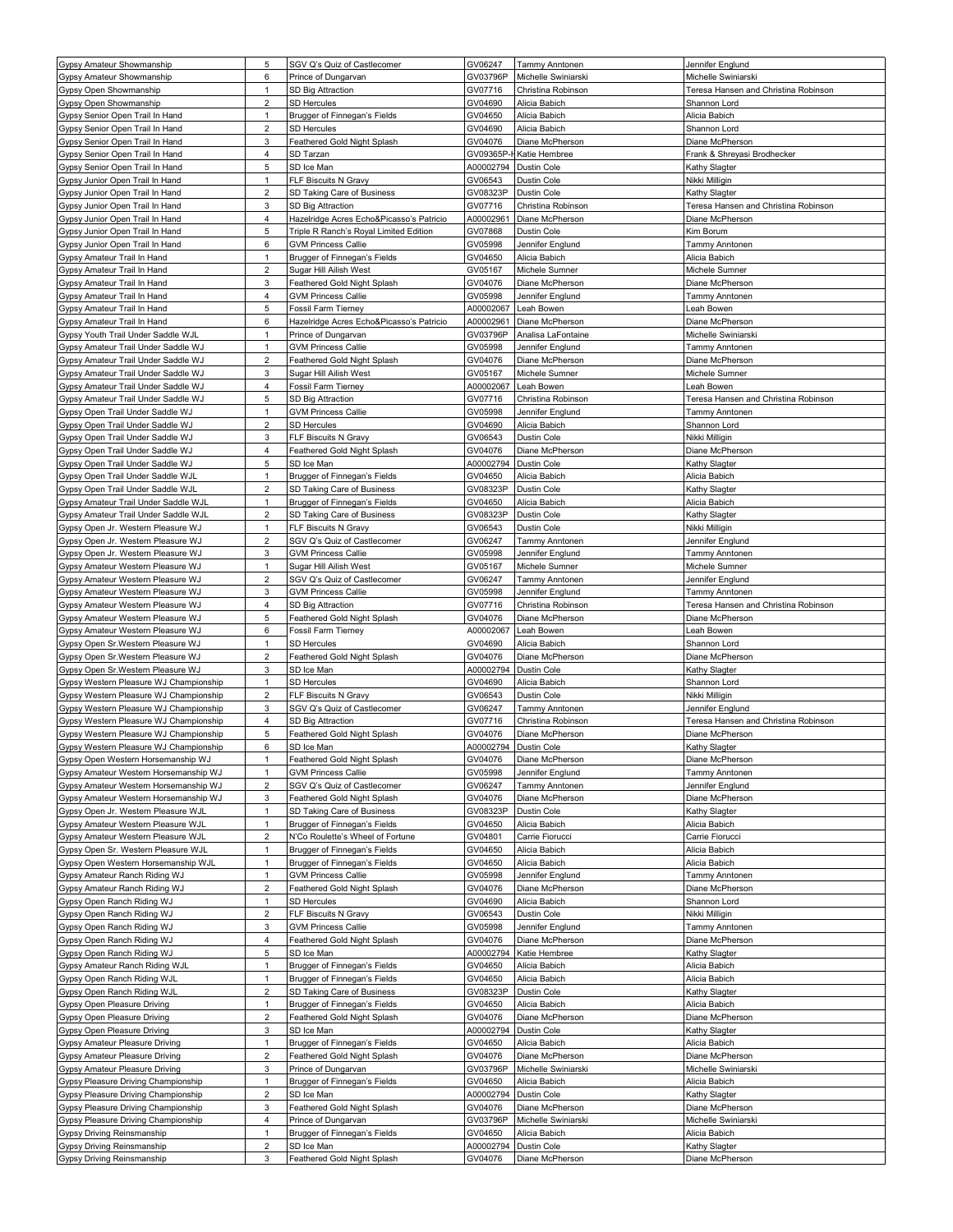| Gypsy Amateur Showmanship              | 5              | SGV Q's Quiz of Castlecomer              | GV06247   | <b>Tammy Anntonen</b> | Jennifer Englund                     |
|----------------------------------------|----------------|------------------------------------------|-----------|-----------------------|--------------------------------------|
| Gypsy Amateur Showmanship              | 6              | Prince of Dungarvan                      | GV03796P  | Michelle Swiniarski   | Michelle Swiniarski                  |
| Gypsy Open Showmanship                 | 1              | SD Big Attraction                        | GV07716   | Christina Robinson    | Teresa Hansen and Christina Robinson |
| Gypsy Open Showmanship                 | $\overline{a}$ | SD Hercules                              | GV04690   | Alicia Babich         | Shannon Lord                         |
| Gypsy Senior Open Trail In Hand        | $\mathbf{1}$   | Brugger of Finnegan's Fields             | GV04650   | Alicia Babich         | Alicia Babich                        |
| Gypsy Senior Open Trail In Hand        | $\overline{a}$ | <b>SD Hercules</b>                       | GV04690   | Alicia Babich         | Shannon Lord                         |
| Gypsy Senior Open Trail In Hand        | 3              | Feathered Gold Night Splash              | GV04076   | Diane McPherson       | Diane McPherson                      |
|                                        | 4              | SD Tarzan                                | GV09365P- | Katie Hembree         | Frank & Shreyasi Brodhecker          |
| Gypsy Senior Open Trail In Hand        |                |                                          |           |                       |                                      |
| Gypsy Senior Open Trail In Hand        | 5              | SD Ice Man                               | A00002794 | Dustin Cole           | Kathy Slagter                        |
| Gypsy Junior Open Trail In Hand        | $\mathbf{1}$   | FLF Biscuits N Gravy                     | GV06543   | <b>Dustin Cole</b>    | Nikki Milligin                       |
| Gypsy Junior Open Trail In Hand        | $\overline{2}$ | SD Taking Care of Business               | GV08323P  | Dustin Cole           | Kathy Slagter                        |
| Gypsy Junior Open Trail In Hand        | 3              | SD Big Attraction                        | GV07716   | Christina Robinson    | Teresa Hansen and Christina Robinson |
| Gypsy Junior Open Trail In Hand        | 4              | Hazelridge Acres Echo&Picasso's Patricio | A00002961 | Diane McPherson       | Diane McPherson                      |
| Gypsy Junior Open Trail In Hand        | 5              | Triple R Ranch's Royal Limited Edition   | GV07868   | Dustin Cole           | Kim Borum                            |
| Gypsy Junior Open Trail In Hand        | 6              | <b>GVM Princess Callie</b>               | GV05998   | Jennifer Englund      | Tammy Anntonen                       |
| Gypsy Amateur Trail In Hand            | $\mathbf{1}$   | Brugger of Finnegan's Fields             | GV04650   | Alicia Babich         | Alicia Babich                        |
| Gypsy Amateur Trail In Hand            | $\overline{c}$ | Sugar Hill Ailish West                   | GV05167   | Michele Sumner        | Michele Sumner                       |
| Gypsy Amateur Trail In Hand            | 3              | Feathered Gold Night Splash              | GV04076   | Diane McPherson       | Diane McPherson                      |
| Gypsy Amateur Trail In Hand            | 4              | <b>GVM Princess Callie</b>               | GV05998   | Jennifer Englund      | Tammy Anntonen                       |
| Gypsy Amateur Trail In Hand            | 5              | Fossil Farm Tierney                      | A00002067 | Leah Bowen            | Leah Bowen                           |
|                                        |                |                                          |           |                       |                                      |
| Gypsy Amateur Trail In Hand            | 6              | Hazelridge Acres Echo&Picasso's Patricio | A00002961 | Diane McPherson       | Diane McPherson                      |
| Gypsy Youth Trail Under Saddle WJL     | $\mathbf{1}$   | Prince of Dungarvan                      | GV03796P  | Analisa LaFontaine    | Michelle Swiniarski                  |
| Gypsy Amateur Trail Under Saddle WJ    | $\mathbf{1}$   | <b>GVM Princess Callie</b>               | GV05998   | Jennifer Englund      | Tammy Anntonen                       |
| Gypsy Amateur Trail Under Saddle WJ    | $\overline{2}$ | Feathered Gold Night Splash              | GV04076   | Diane McPherson       | Diane McPherson                      |
| Gypsy Amateur Trail Under Saddle WJ    | 3              | Sugar Hill Ailish West                   | GV05167   | Michele Sumner        | Michele Sumner                       |
| Gypsy Amateur Trail Under Saddle WJ    | 4              | Fossil Farm Tierney                      | A00002067 | Leah Bowen            | Leah Bowen                           |
| Gypsy Amateur Trail Under Saddle WJ    | 5              | SD Big Attraction                        | GV07716   | Christina Robinson    | Teresa Hansen and Christina Robinson |
| Gypsy Open Trail Under Saddle WJ       | 1              | <b>GVM Princess Callie</b>               | GV05998   | Jennifer Englund      | Tammy Anntonen                       |
| Gypsy Open Trail Under Saddle WJ       | $\overline{c}$ | SD Hercules                              | GV04690   | Alicia Babich         | Shannon Lord                         |
| Gypsy Open Trail Under Saddle WJ       | 3              | FLF Biscuits N Gravy                     | GV06543   | Dustin Cole           | Nikki Milligin                       |
|                                        |                |                                          |           |                       |                                      |
| Gypsy Open Trail Under Saddle WJ       | 4              | Feathered Gold Night Splash              | GV04076   | Diane McPherson       | Diane McPherson                      |
| Gypsy Open Trail Under Saddle WJ       | 5              | SD Ice Man                               | A00002794 | Dustin Cole           | Kathy Slagter                        |
| Gypsy Open Trail Under Saddle WJL      | $\mathbf{1}$   | Brugger of Finnegan's Fields             | GV04650   | Alicia Babich         | Alicia Babich                        |
| Gypsy Open Trail Under Saddle WJL      | $\overline{2}$ | SD Taking Care of Business               | GV08323P  | Dustin Cole           | Kathy Slagter                        |
| Gypsy Amateur Trail Under Saddle WJL   | $\mathbf{1}$   | Brugger of Finnegan's Fields             | GV04650   | Alicia Babich         | Alicia Babich                        |
| Gypsy Amateur Trail Under Saddle WJL   | $\overline{c}$ | SD Taking Care of Business               | GV08323P  | Dustin Cole           | Kathy Slagter                        |
| Gypsy Open Jr. Western Pleasure WJ     | $\mathbf{1}$   | FLF Biscuits N Gravy                     | GV06543   | Dustin Cole           | Nikki Milligin                       |
| Gypsy Open Jr. Western Pleasure WJ     | $\overline{c}$ | SGV Q's Quiz of Castlecomer              | GV06247   | <b>Tammy Anntonen</b> | Jennifer Englund                     |
| Gypsy Open Jr. Western Pleasure WJ     | 3              | <b>GVM Princess Callie</b>               | GV05998   | Jennifer Englund      | <b>Tammy Anntonen</b>                |
| Gypsy Amateur Western Pleasure WJ      | $\mathbf{1}$   | Sugar Hill Ailish West                   | GV05167   | Michele Sumner        | Michele Sumner                       |
|                                        |                |                                          |           |                       |                                      |
| Gypsy Amateur Western Pleasure WJ      | $\overline{c}$ | SGV Q's Quiz of Castlecomer              | GV06247   | <b>Tammy Anntonen</b> | Jennifer Englund                     |
| Gypsy Amateur Western Pleasure WJ      | 3              | <b>GVM Princess Callie</b>               | GV05998   | Jennifer Englund      | <b>Tammy Anntonen</b>                |
| Gypsy Amateur Western Pleasure WJ      | 4              | SD Big Attraction                        | GV07716   | Christina Robinson    | Teresa Hansen and Christina Robinson |
| Gypsy Amateur Western Pleasure WJ      | 5              | Feathered Gold Night Splash              | GV04076   | Diane McPherson       | Diane McPherson                      |
| Gypsy Amateur Western Pleasure WJ      | 6              | <b>Fossil Farm Tierney</b>               | A00002067 | Leah Bowen            | Leah Bowen                           |
| Gypsy Open Sr. Western Pleasure WJ     | $\mathbf{1}$   | <b>SD Hercules</b>                       | GV04690   | Alicia Babich         | Shannon Lord                         |
| Gypsy Open Sr. Western Pleasure WJ     | $\overline{2}$ | Feathered Gold Night Splash              | GV04076   | Diane McPherson       | Diane McPherson                      |
| Gypsy Open Sr. Western Pleasure WJ     | 3              | SD Ice Man                               | A00002794 | Dustin Cole           | Kathy Slagter                        |
| Gypsy Western Pleasure WJ Championship | 1              | SD Hercules                              | GV04690   | Alicia Babich         | Shannon Lord                         |
| Gypsy Western Pleasure WJ Championship |                | FLF Biscuits N Gravy                     |           | Dustin Cole           |                                      |
|                                        | $\overline{c}$ |                                          | GV06543   |                       | Nikki Milligin                       |
| Gypsy Western Pleasure WJ Championship | 3              | SGV Q's Quiz of Castlecomer              | GV06247   | Tammy Anntonen        | Jennifer Englund                     |
| Gypsy Western Pleasure WJ Championship | 4              | SD Big Attraction                        | GV07716   | Christina Robinson    | Teresa Hansen and Christina Robinson |
| Gypsy Western Pleasure WJ Championship | 5              | Feathered Gold Night Splash              | GV04076   | Diane McPherson       | Diane McPherson                      |
| Gypsy Western Pleasure WJ Championship | 6              | SD Ice Man                               | A00002794 | <b>Dustin Cole</b>    | Kathy Slagter                        |
| Gypsy Open Western Horsemanship WJ     | 1              | Feathered Gold Night Splash              | GV04076   | Diane McPherson       | Diane McPherson                      |
| Gypsy Amateur Western Horsemanship WJ  | $\mathbf{1}$   | <b>GVM Princess Callie</b>               | GV05998   | Jennifer Englund      | <b>Tammy Anntonen</b>                |
| Gypsy Amateur Western Horsemanship WJ  | $\overline{2}$ | SGV Q's Quiz of Castlecomer              | GV06247   | Tammy Anntonen        | Jennifer Englund                     |
| Gypsy Amateur Western Horsemanship WJ  | 3              | Feathered Gold Night Splash              | GV04076   | Diane McPherson       | Diane McPherson                      |
|                                        | $\mathbf{1}$   |                                          |           | Dustin Cole           |                                      |
| Gypsy Open Jr. Western Pleasure WJL    |                | SD Taking Care of Business               | GV08323P  |                       | Kathy Slagter                        |
| Gypsy Amateur Western Pleasure WJL     | $\mathbf{1}$   | Brugger of Finnegan's Fields             | GV04650   | Alicia Babich         | Alicia Babich                        |
| Gypsy Amateur Western Pleasure WJL     | $\overline{2}$ | N'Co Roulette's Wheel of Fortune         | GV04801   | Carrie Fiorucci       | Carrie Fiorucci                      |
| Gypsy Open Sr. Western Pleasure WJL    | $\mathbf{1}$   | Brugger of Finnegan's Fields             | GV04650   | Alicia Babich         | Alicia Babich                        |
| Gypsy Open Western Horsemanship WJL    | $\mathbf{1}$   | Brugger of Finnegan's Fields             | GV04650   | Alicia Babich         | Alicia Babich                        |
| Gypsy Amateur Ranch Riding WJ          | $\mathbf{1}$   | <b>GVM Princess Callie</b>               | GV05998   | Jennifer Englund      | Tammy Anntonen                       |
| Gypsy Amateur Ranch Riding WJ          | $\overline{2}$ | Feathered Gold Night Splash              | GV04076   | Diane McPherson       | Diane McPherson                      |
| Gypsy Open Ranch Riding WJ             | $\mathbf{1}$   | <b>SD Hercules</b>                       | GV04690   | Alicia Babich         | Shannon Lord                         |
| Gypsy Open Ranch Riding WJ             | $\overline{c}$ | FLF Biscuits N Gravy                     | GV06543   | Dustin Cole           | Nikki Milligin                       |
| Gypsy Open Ranch Riding WJ             | 3              | <b>GVM Princess Callie</b>               | GV05998   | Jennifer Englund      | Tammy Anntonen                       |
|                                        |                |                                          |           |                       |                                      |
| Gypsy Open Ranch Riding WJ             | 4              | Feathered Gold Night Splash              | GV04076   | Diane McPherson       | Diane McPherson                      |
| Gypsy Open Ranch Riding WJ             | 5              | SD Ice Man                               | A00002794 | Katie Hembree         | Kathy Slagter                        |
| Gypsy Amateur Ranch Riding WJL         | $\mathbf{1}$   | Brugger of Finnegan's Fields             | GV04650   | Alicia Babich         | Alicia Babich                        |
| Gypsy Open Ranch Riding WJL            | $\mathbf{1}$   | Brugger of Finnegan's Fields             | GV04650   | Alicia Babich         | Alicia Babich                        |
| Gypsy Open Ranch Riding WJL            | $\overline{2}$ | SD Taking Care of Business               | GV08323P  | Dustin Cole           | Kathy Slagter                        |
| Gypsy Open Pleasure Driving            | 1              | Brugger of Finnegan's Fields             | GV04650   | Alicia Babich         | Alicia Babich                        |
| Gypsy Open Pleasure Driving            | $\overline{c}$ | Feathered Gold Night Splash              | GV04076   | Diane McPherson       | Diane McPherson                      |
| Gypsy Open Pleasure Driving            | 3              | SD Ice Man                               | A00002794 | Dustin Cole           | Kathy Slagter                        |
| Gypsy Amateur Pleasure Driving         | $\mathbf{1}$   | Brugger of Finnegan's Fields             | GV04650   | Alicia Babich         | Alicia Babich                        |
| Gypsy Amateur Pleasure Driving         | $\overline{2}$ | Feathered Gold Night Splash              | GV04076   | Diane McPherson       | Diane McPherson                      |
|                                        |                |                                          |           |                       |                                      |
| Gypsy Amateur Pleasure Driving         | 3              | Prince of Dungarvan                      | GV03796P  | Michelle Swiniarski   | Michelle Swiniarski                  |
| Gypsy Pleasure Driving Championship    | $\mathbf{1}$   | Brugger of Finnegan's Fields             | GV04650   | Alicia Babich         | Alicia Babich                        |
| Gypsy Pleasure Driving Championship    | $\overline{c}$ | SD Ice Man                               | A00002794 | Dustin Cole           | Kathy Slagter                        |
| Gypsy Pleasure Driving Championship    | 3              | Feathered Gold Night Splash              | GV04076   | Diane McPherson       | Diane McPherson                      |
| Gypsy Pleasure Driving Championship    | 4              | Prince of Dungarvan                      | GV03796P  | Michelle Swiniarski   | Michelle Swiniarski                  |
| Gypsy Driving Reinsmanship             | $\mathbf{1}$   | Brugger of Finnegan's Fields             | GV04650   | Alicia Babich         | Alicia Babich                        |
| Gypsy Driving Reinsmanship             | $\overline{2}$ | SD Ice Man                               | A00002794 | Dustin Cole           | Kathy Slagter                        |
| Gypsy Driving Reinsmanship             | 3              | Feathered Gold Night Splash              | GV04076   | Diane McPherson       | Diane McPherson                      |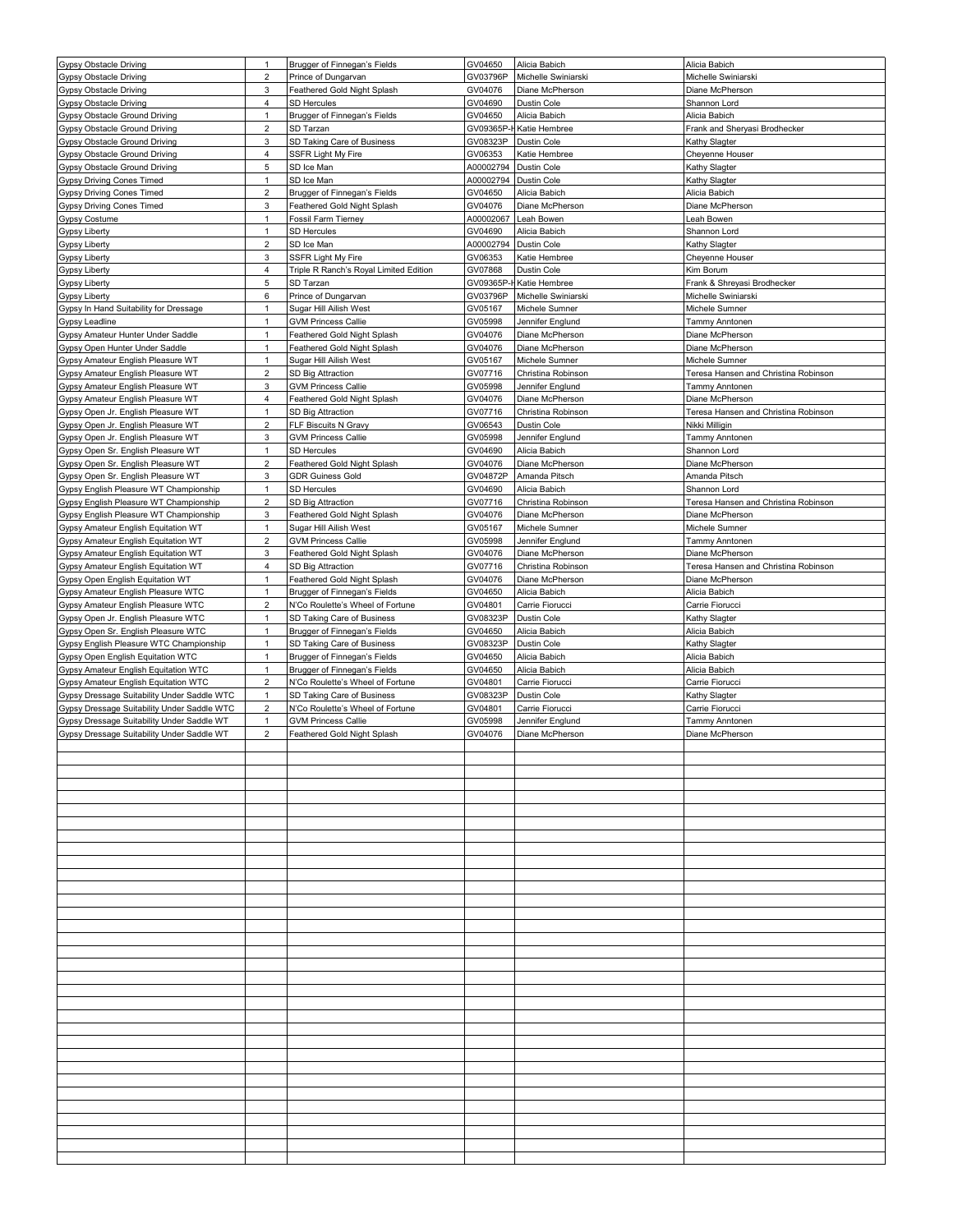| <b>Gypsy Obstacle Driving</b>               | 1                       | Brugger of Finnegan's Fields           | GV04650    | Alicia Babich       | Alicia Babich                        |
|---------------------------------------------|-------------------------|----------------------------------------|------------|---------------------|--------------------------------------|
| <b>Gypsy Obstacle Driving</b>               | $\overline{c}$          | Prince of Dungarvan                    | GV03796P   | Michelle Swiniarski | Michelle Swiniarski                  |
| <b>Gypsy Obstacle Driving</b>               | 3                       | Feathered Gold Night Splash            | GV04076    | Diane McPherson     | Diane McPherson                      |
| <b>Gypsy Obstacle Driving</b>               | 4                       | SD Hercules                            | GV04690    | Dustin Cole         | Shannon Lord                         |
| Gypsy Obstacle Ground Driving               | $\mathbf{1}$            | Brugger of Finnegan's Fields           | GV04650    | Alicia Babich       | Alicia Babich                        |
| Gypsy Obstacle Ground Driving               | $\overline{c}$          | SD Tarzan                              | GV09365P-  | Katie Hembree       | Frank and Sheryasi Brodhecker        |
| Gypsy Obstacle Ground Driving               | 3                       | SD Taking Care of Business             | GV08323P   | Dustin Cole         | Kathy Slagter                        |
| Gypsy Obstacle Ground Driving               | 4                       | <b>SSFR Light My Fire</b>              | GV06353    | Katie Hembree       | Cheyenne Houser                      |
| Gypsy Obstacle Ground Driving               | 5                       | SD Ice Man                             | A00002794  | Dustin Cole         | Kathy Slagter                        |
| Gypsy Driving Cones Timed                   | 1                       | SD Ice Man                             | A00002794  | Dustin Cole         | Kathy Slagter                        |
| Gypsy Driving Cones Timed                   | $\overline{c}$          | Brugger of Finnegan's Fields           | GV04650    | Alicia Babich       | Alicia Babich                        |
| <b>Gypsy Driving Cones Timed</b>            | 3                       | Feathered Gold Night Splash            | GV04076    | Diane McPherson     | Diane McPherson                      |
| <b>Gypsy Costume</b>                        | $\mathbf{1}$            | <b>Fossil Farm Tierney</b>             | A00002067  | Leah Bowen          | Leah Bowen                           |
| <b>Gypsy Liberty</b>                        | 1                       | <b>SD Hercules</b>                     | GV04690    | Alicia Babich       | Shannon Lord                         |
| Gypsy Liberty                               | $\overline{c}$          | SD Ice Man                             | A00002794  | Dustin Cole         | Kathy Slagter                        |
| <b>Gypsy Liberty</b>                        | 3                       | SSFR Light My Fire                     | GV06353    | Katie Hembree       | Cheyenne Houser                      |
| Gypsy Liberty                               | 4                       | Triple R Ranch's Royal Limited Edition | GV07868    | Dustin Cole         | Kim Borum                            |
| Gypsy Liberty                               | 5                       | SD Tarzan                              | GV09365P-I | Katie Hembree       | Frank & Shreyasi Brodhecker          |
| <b>Gypsy Liberty</b>                        | 6                       | Prince of Dungarvan                    | GV03796P   | Michelle Swiniarski | Michelle Swiniarski                  |
| Gypsy In Hand Suitability for Dressage      | $\mathbf{1}$            | Sugar Hill Ailish West                 | GV05167    | Michele Sumner      | Michele Sumner                       |
| Gypsy Leadline                              | $\mathbf{1}$            | <b>GVM Princess Callie</b>             | GV05998    | Jennifer Englund    | Tammy Anntonen                       |
| Gypsy Amateur Hunter Under Saddle           | $\mathbf{1}$            | Feathered Gold Night Splash            | GV04076    | Diane McPherson     | Diane McPherson                      |
| Gypsy Open Hunter Under Saddle              | $\mathbf{1}$            | Feathered Gold Night Splash            | GV04076    | Diane McPherson     | Diane McPherson                      |
| Gypsy Amateur English Pleasure WT           | $\mathbf{1}$            | Sugar Hill Ailish West                 | GV05167    | Michele Sumner      | Michele Sumner                       |
| Gypsy Amateur English Pleasure WT           | $\overline{2}$          | SD Big Attraction                      | GV07716    | Christina Robinson  | Teresa Hansen and Christina Robinson |
| Gypsy Amateur English Pleasure WT           | 3                       | <b>GVM Princess Callie</b>             | GV05998    | Jennifer Englund    | Tammy Anntonen                       |
| Gypsy Amateur English Pleasure WT           | 4                       | Feathered Gold Night Splash            | GV04076    | Diane McPherson     | Diane McPherson                      |
| Gypsy Open Jr. English Pleasure WT          | 1                       | SD Big Attraction                      | GV07716    | Christina Robinson  | Teresa Hansen and Christina Robinson |
| Gypsy Open Jr. English Pleasure WT          | $\overline{2}$          | FLF Biscuits N Gravy                   | GV06543    | Dustin Cole         | Nikki Milligin                       |
| Gypsy Open Jr. English Pleasure WT          | 3                       | <b>GVM Princess Callie</b>             | GV05998    | Jennifer Englund    | Tammy Anntonen                       |
| Gypsy Open Sr. English Pleasure WT          | 1                       | <b>SD Hercules</b>                     | GV04690    | Alicia Babich       | Shannon Lord                         |
| Gypsy Open Sr. English Pleasure WT          | $\overline{c}$          | Feathered Gold Night Splash            | GV04076    | Diane McPherson     | Diane McPherson                      |
| Gypsy Open Sr. English Pleasure WT          | 3                       | <b>GDR Guiness Gold</b>                | GV04872P   | Amanda Pitsch       | Amanda Pitsch                        |
| Gypsy English Pleasure WT Championship      | $\mathbf{1}$            | SD Hercules                            | GV04690    | Alicia Babich       | Shannon Lord                         |
| Gypsy English Pleasure WT Championship      | $\overline{c}$          | SD Big Attraction                      | GV07716    | Christina Robinson  | Teresa Hansen and Christina Robinson |
| Gypsy English Pleasure WT Championship      | 3                       | Feathered Gold Night Splash            | GV04076    | Diane McPherson     | Diane McPherson                      |
| Gypsy Amateur English Equitation WT         | $\mathbf{1}$            | Sugar Hill Ailish West                 | GV05167    | Michele Sumner      | Michele Sumner                       |
| Gypsy Amateur English Equitation WT         | $\overline{2}$          | <b>GVM Princess Callie</b>             | GV05998    | Jennifer Englund    | Tammy Anntonen                       |
| Gypsy Amateur English Equitation WT         | 3                       | Feathered Gold Night Splash            | GV04076    | Diane McPherson     | Diane McPherson                      |
| Gypsy Amateur English Equitation WT         | 4                       | SD Big Attraction                      | GV07716    | Christina Robinson  | Teresa Hansen and Christina Robinson |
| Gypsy Open English Equitation WT            | $\mathbf{1}$            | Feathered Gold Night Splash            | GV04076    | Diane McPherson     | Diane McPherson                      |
| Gypsy Amateur English Pleasure WTC          | $\mathbf{1}$            | Brugger of Finnegan's Fields           | GV04650    | Alicia Babich       | Alicia Babich                        |
| Gypsy Amateur English Pleasure WTC          | $\overline{\mathbf{c}}$ | N'Co Roulette's Wheel of Fortune       | GV04801    | Carrie Fiorucci     | Carrie Fiorucci                      |
| Gypsy Open Jr. English Pleasure WTC         | $\mathbf{1}$            | SD Taking Care of Business             | GV08323P   | Dustin Cole         | Kathy Slagter                        |
| Gypsy Open Sr. English Pleasure WTC         | $\mathbf{1}$            | Brugger of Finnegan's Fields           | GV04650    | Alicia Babich       | Alicia Babich                        |
| Gypsy English Pleasure WTC Championship     | $\mathbf{1}$            | SD Taking Care of Business             | GV08323P   | Dustin Cole         | Kathy Slagter                        |
| Gypsy Open English Equitation WTC           | $\mathbf{1}$            | Brugger of Finnegan's Fields           | GV04650    | Alicia Babich       | Alicia Babich                        |
| Gypsy Amateur English Equitation WTC        | $\mathbf{1}$            | Brugger of Finnegan's Fields           | GV04650    | Alicia Babich       | Alicia Babich                        |
| Gypsy Amateur English Equitation WTC        | $\overline{2}$          | N'Co Roulette's Wheel of Fortune       | GV04801    | Carrie Fiorucci     | Carrie Fiorucci                      |
| Gypsy Dressage Suitability Under Saddle WTC | $\mathbf{1}$            | SD Taking Care of Business             | GV08323P   | Dustin Cole         | Kathy Slagter                        |
| Gypsy Dressage Suitability Under Saddle WTC | $\overline{\mathbf{c}}$ | N'Co Roulette's Wheel of Fortune       | GV04801    | Carrie Fiorucci     | Carrie Fiorucci                      |
| Gypsy Dressage Suitability Under Saddle WT  | $\mathbf{1}$            | <b>GVM Princess Callie</b>             | GV05998    | Jennifer Englund    | Tammy Anntonen                       |
| Gypsy Dressage Suitability Under Saddle WT  | $\overline{2}$          | Feathered Gold Night Splash            | GV04076    | Diane McPherson     | Diane McPherson                      |
|                                             |                         |                                        |            |                     |                                      |
|                                             |                         |                                        |            |                     |                                      |
|                                             |                         |                                        |            |                     |                                      |
|                                             |                         |                                        |            |                     |                                      |
|                                             |                         |                                        |            |                     |                                      |
|                                             |                         |                                        |            |                     |                                      |
|                                             |                         |                                        |            |                     |                                      |
|                                             |                         |                                        |            |                     |                                      |
|                                             |                         |                                        |            |                     |                                      |
|                                             |                         |                                        |            |                     |                                      |
|                                             |                         |                                        |            |                     |                                      |
|                                             |                         |                                        |            |                     |                                      |
|                                             |                         |                                        |            |                     |                                      |
|                                             |                         |                                        |            |                     |                                      |
|                                             |                         |                                        |            |                     |                                      |
|                                             |                         |                                        |            |                     |                                      |
|                                             |                         |                                        |            |                     |                                      |
|                                             |                         |                                        |            |                     |                                      |
|                                             |                         |                                        |            |                     |                                      |
|                                             |                         |                                        |            |                     |                                      |
|                                             |                         |                                        |            |                     |                                      |
|                                             |                         |                                        |            |                     |                                      |
|                                             |                         |                                        |            |                     |                                      |
|                                             |                         |                                        |            |                     |                                      |
|                                             |                         |                                        |            |                     |                                      |
|                                             |                         |                                        |            |                     |                                      |
|                                             |                         |                                        |            |                     |                                      |
|                                             |                         |                                        |            |                     |                                      |
|                                             |                         |                                        |            |                     |                                      |
|                                             |                         |                                        |            |                     |                                      |
|                                             |                         |                                        |            |                     |                                      |
|                                             |                         |                                        |            |                     |                                      |